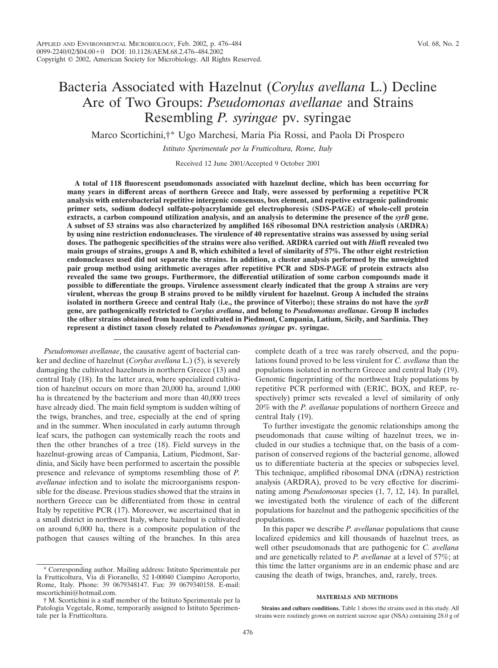Marco Scortichini,†\* Ugo Marchesi, Maria Pia Rossi, and Paola Di Prospero

*Istituto Sperimentale per la Frutticoltura, Rome, Italy*

Received 12 June 2001/Accepted 9 October 2001

**A total of 118 fluorescent pseudomonads associated with hazelnut decline, which has been occurring for many years in different areas of northern Greece and Italy, were assessed by performing a repetitive PCR analysis with enterobacterial repetitive intergenic consensus, box element, and repetive extragenic palindromic primer sets, sodium dodecyl sulfate-polyacrylamide gel electrophoresis (SDS-PAGE) of whole-cell protein extracts, a carbon compound utilization analysis, and an analysis to determine the presence of the** *syrB* **gene. A subset of 53 strains was also characterized by amplified 16S ribosomal DNA restriction analysis (ARDRA) by using nine restriction endonucleases. The virulence of 40 representative strains was assessed by using serial doses. The pathogenic specificities of the strains were also verified. ARDRA carried out with** *Hin***fI revealed two main groups of strains, groups A and B, which exhibited a level of similarity of 57%. The other eight restriction endonucleases used did not separate the strains. In addition, a cluster analysis performed by the unweighted pair group method using arithmetic averages after repetitive PCR and SDS-PAGE of protein extracts also revealed the same two groups. Furthermore, the differential utilization of some carbon compounds made it possible to differentiate the groups. Virulence assessment clearly indicated that the group A strains are very virulent, whereas the group B strains proved to be mildly virulent for hazelnut. Group A included the strains isolated in northern Greece and central Italy (i.e., the province of Viterbo); these strains do not have the** *syrB* **gene, are pathogenically restricted to** *Corylus avellana***, and belong to** *Pseudomonas avellanae***. Group B includes the other strains obtained from hazelnut cultivated in Piedmont, Campania, Latium, Sicily, and Sardinia. They represent a distinct taxon closely related to** *Pseudomonas syringae* **pv. syringae.**

*Pseudomonas avellanae*, the causative agent of bacterial canker and decline of hazelnut (*Corylus avellana* L.) (5), is severely damaging the cultivated hazelnuts in northern Greece (13) and central Italy (18). In the latter area, where specialized cultivation of hazelnut occurs on more than 20,000 ha, around 1,000 ha is threatened by the bacterium and more than 40,000 trees have already died. The main field symptom is sudden wilting of the twigs, branches, and tree, especially at the end of spring and in the summer. When inoculated in early autumn through leaf scars, the pathogen can systemically reach the roots and then the other branches of a tree (18). Field surveys in the hazelnut-growing areas of Campania, Latium, Piedmont, Sardinia, and Sicily have been performed to ascertain the possible presence and relevance of symptoms resembling those of *P. avellanae* infection and to isolate the microorganisms responsible for the disease. Previous studies showed that the strains in northern Greece can be differentiated from those in central Italy by repetitive PCR (17). Moreover, we ascertained that in a small district in northwest Italy, where hazelnut is cultivated on around 6,000 ha, there is a composite population of the pathogen that causes wilting of the branches. In this area

\* Corresponding author. Mailing address: Istituto Sperimentale per la Frutticoltura, Via di Fioranello, 52 I-00040 Ciampino Aeroporto, Rome, Italy. Phone: 39 0679348147. Fax: 39 0679340158. E-mail: mscortichini@hotmail.com.

† M. Scortichini is a staff member of the Istituto Sperimentale per la Patologia Vegetale, Rome, temporarily assigned to Istituto Sperimentale per la Frutticoltura.

complete death of a tree was rarely observed, and the populations found proved to be less virulent for *C. avellana* than the populations isolated in northern Greece and central Italy (19). Genomic fingerprinting of the northwest Italy populations by repetitive PCR performed with (ERIC, BOX, and REP, respectively) primer sets revealed a level of similarity of only 20% with the *P. avellanae* populations of northern Greece and central Italy (19).

To further investigate the genomic relationships among the pseudomonads that cause wilting of hazelnut trees, we included in our studies a technique that, on the basis of a comparison of conserved regions of the bacterial genome, allowed us to differentiate bacteria at the species or subspecies level. This technique, amplified ribosomal DNA (rDNA) restriction analysis (ARDRA), proved to be very effective for discriminating among *Pseudomonas* species (1, 7, 12, 14). In parallel, we investigated both the virulence of each of the different populations for hazelnut and the pathogenic specificities of the populations.

In this paper we describe *P. avellanae* populations that cause localized epidemics and kill thousands of hazelnut trees, as well other pseudomonads that are pathogenic for *C. avellana* and are genetically related to *P. avellanae* at a level of 57%; at this time the latter organisms are in an endemic phase and are causing the death of twigs, branches, and, rarely, trees.

### **MATERIALS AND METHODS**

**Strains and culture conditions.** Table 1 shows the strains used in this study. All strains were routinely grown on nutrient sucrose agar (NSA) containing 28.0 g of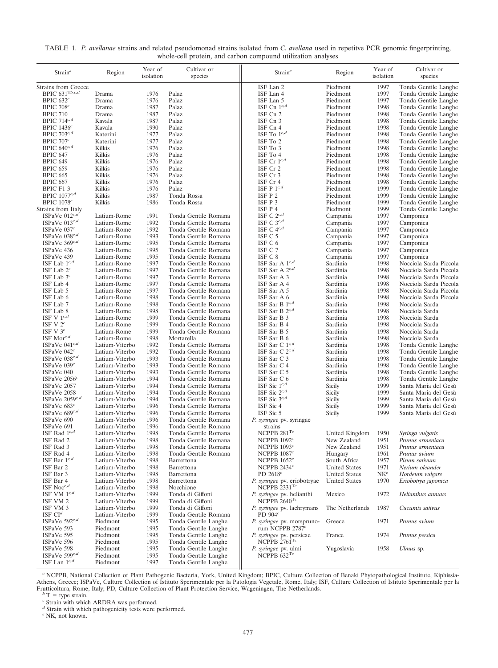| TABLE 1. P. avellanae strains and related pseudomonad strains isolated from C. avellana used in repetitve PCR genomic fingerprinting, |  |  |
|---------------------------------------------------------------------------------------------------------------------------------------|--|--|
| whole-cell protein, and carbon compound utilization analyses                                                                          |  |  |

| $Strain^a$                                         | Region                           | Year of<br>isolation | Cultivar or<br>species                       | Strain <sup>a</sup>                                     | Region               | Year of<br>isolation | Cultivar or<br>species                       |
|----------------------------------------------------|----------------------------------|----------------------|----------------------------------------------|---------------------------------------------------------|----------------------|----------------------|----------------------------------------------|
| Strains from Greece                                |                                  |                      |                                              | ISF Lan 2                                               | Piedmont             | 1997                 | Tonda Gentile Langhe                         |
| BPIC $631^{\text{T}b,c,d}$                         | Drama                            | 1976                 | Palaz                                        | ISF Lan 4                                               | Piedmont             | 1997                 | Tonda Gentile Langhe                         |
| BPIC $632^c$<br>BPIC $708c$                        | Drama<br>Drama                   | 1976<br>1987         | Palaz<br>Palaz                               | ISF Lan 5<br>ISF Cn $1^{c,d}$                           | Piedmont<br>Piedmont | 1997<br>1998         | Tonda Gentile Langhe<br>Tonda Gentile Langhe |
| <b>BPIC 710</b>                                    | Drama                            | 1987                 | Palaz                                        | ISF Cn 2                                                | Piedmont             | 1998                 | Tonda Gentile Langhe                         |
| BPIC $714^{c,d}$                                   | Kavala                           | 1987                 | Palaz                                        | ISF Cn 3                                                | Piedmont             | 1998                 | Tonda Gentile Langhe                         |
| BPIC $1436c$                                       | Kavala                           | 1990                 | Palaz                                        | ISF Cn 4                                                | Piedmont             | 1998                 | Tonda Gentile Langhe                         |
| BPIC $703^{c,d}$                                   | Katerini                         | 1977                 | Palaz                                        | ISF To $1^{c,d}$                                        | Piedmont             | 1998                 | Tonda Gentile Langhe                         |
| BPIC $707c$                                        | Katerini                         | 1977                 | Palaz                                        | ISF To 2                                                | Piedmont             | 1998                 | Tonda Gentile Langhe                         |
| BPIC $640^{c,d}$                                   | Kilkis                           | 1976                 | Palaz                                        | ISF To 3                                                | Piedmont             | 1998                 | Tonda Gentile Langhe                         |
| <b>BPIC 647</b>                                    | Kilkis                           | 1976                 | Palaz                                        | ISF To 4                                                | Piedmont             | 1998                 | Tonda Gentile Langhe                         |
| <b>BPIC 649</b>                                    | Kilkis                           | 1976                 | Palaz                                        | ISF Cr $1^{c,d}$                                        | Piedmont             | 1998                 | Tonda Gentile Langhe                         |
| <b>BPIC 659</b>                                    | Kilkis                           | 1976                 | Palaz                                        | ISF Cr 2                                                | Piedmont             | 1998                 | Tonda Gentile Langhe                         |
| <b>BPIC 665</b>                                    | Kilkis                           | 1976                 | Palaz                                        | ISF Cr 3                                                | Piedmont             | 1998                 | Tonda Gentile Langhe                         |
| <b>BPIC 667</b>                                    | Kilkis                           | 1976                 | Palaz                                        | ISF Cr 4                                                | Piedmont             | 1998                 | Tonda Gentile Langhe                         |
| BPIC F1 3                                          | Kilkis                           | 1976                 | Palaz                                        | ISF P $1^{c,d}$                                         | Piedmont             | 1999                 | Tonda Gentile Langhe                         |
| BPIC $1077^{c,d}$<br><b>BPIC</b> 1078 <sup>c</sup> | Kilkis<br>Kilkis                 | 1987<br>1986         | Tonda Rossa<br>Tonda Rossa                   | ISF P 2<br>ISF P 3                                      | Piedmont<br>Piedmont | 1999<br>1999         | Tonda Gentile Langhe<br>Tonda Gentile Langhe |
| Strains from Italy                                 |                                  |                      |                                              | ISF P 4                                                 | Piedmont             | 1999                 | Tonda Gentile Langhe                         |
| ISPaVe $012^{c,d}$                                 | Latium-Rome                      | 1991                 | Tonda Gentile Romana                         | ISF C $2^{c,d}$                                         | Campania             | 1997                 | Camponica                                    |
| ISPaVe $013^{c,d}$                                 | Latium-Rome                      | 1992                 | Tonda Gentile Romana                         | ISF C $3^{c,d}$                                         | Campania             | 1997                 | Camponica                                    |
| ISPaVe $037c$                                      | Latium-Rome                      | 1992                 | Tonda Gentile Romana                         | ISF C $4^{c,d}$                                         | Campania             | 1997                 | Camponica                                    |
| ISPaVe $038^{c,d}$                                 | Latium-Rome                      | 1993                 | Tonda Gentile Romana                         | ISF C 5                                                 | Campania             | 1997                 | Camponica                                    |
| ISPaVe $369^{c,d}$                                 | Latium-Rome                      | 1995                 | Tonda Gentile Romana                         | ISF C 6                                                 | Campania             | 1997                 | Camponica                                    |
| ISPaVe 436                                         | Latium-Rome                      | 1995                 | Tonda Gentile Romana                         | ISF C 7                                                 | Campania             | 1997                 | Camponica                                    |
| ISPaVe 439                                         | Latium-Rome                      | 1995                 | Tonda Gentile Romana                         | ISF C 8                                                 | Campania             | 1997                 | Camponica                                    |
| ISF Lab $1^{c,d}$                                  | Latium-Rome                      | 1997                 | Tonda Gentile Romana                         | ISF Sar A $1^{c,d}$                                     | Sardinia             | 1998                 | Nocciola Sarda Piccola                       |
| ISF Lab $2^c$                                      | Latium-Rome                      | 1997                 | Tonda Gentile Romana                         | ISF Sar A $2^{c,d}$                                     | Sardinia             | 1998                 | Nocciola Sarda Piccola                       |
| ISF Lab $3c$                                       | Latium-Rome                      | 1997                 | Tonda Gentile Romana                         | ISF Sar A 3                                             | Sardinia             | 1998                 | Nocciola Sarda Piccola                       |
| ISF Lab 4                                          | Latium-Rome                      | 1997                 | Tonda Gentile Romana                         | ISF Sar A 4                                             | Sardinia             | 1998                 | Nocciola Sarda Piccola                       |
| ISF Lab 5                                          | Latium-Rome                      | 1997                 | Tonda Gentile Romana                         | ISF Sar A 5                                             | Sardinia             | 1998                 | Nocciola Sarda Piccola                       |
| ISF Lab 6                                          | Latium-Rome                      | 1998                 | Tonda Gentile Romana                         | ISF Sar A 6                                             | Sardinia             | 1998                 | Nocciola Sarda Piccola                       |
| ISF Lab 7                                          | Latium-Rome                      | 1998<br>1998         | Tonda Gentile Romana                         | ISF Sar B $1^{c,d}$                                     | Sardinia             | 1998                 | Nocciola Sarda                               |
| ISF Lab 8<br>ISF V $1^{c,d}$                       | Latium-Rome<br>Latium-Rome       | 1999                 | Tonda Gentile Romana<br>Tonda Gentile Romana | ISF Sar B $2^{c,d}$<br>ISF Sar B 3                      | Sardinia<br>Sardinia | 1998<br>1998         | Nocciola Sarda<br>Nocciola Sarda             |
| ISF V $2^c$                                        | Latium-Rome                      | 1999                 | Tonda Gentile Romana                         | ISF Sar B 4                                             | Sardinia             | 1998                 | Nocciola Sarda                               |
| ISF V $3c$                                         | Latium-Rome                      | 1999                 | Tonda Gentile Romana                         | ISF Sar B 5                                             | Sardinia             | 1998                 | Nocciola Sarda                               |
| ISF Mor $^{c,d}$                                   | Latium-Rome                      | 1998                 | Mortarella                                   | ISF Sar B 6                                             | Sardinia             | 1998                 | Nocciola Sarda                               |
| ISPaVe $041^{c,d}$                                 | Latium-Viterbo                   | 1992                 | Tonda Gentile Romana                         | ISF Sar C $1^{c,d}$                                     | Sardinia             | 1998                 | Tonda Gentile Langhe                         |
| ISPaVe $042c$                                      | Latium-Viterbo                   | 1992                 | Tonda Gentile Romana                         | ISF Sar C $2^{c,d}$                                     | Sardinia             | 1998                 | Tonda Gentile Langhe                         |
| ISPaVe $038^{c,d}$                                 | Latium-Viterbo                   | 1993                 | Tonda Gentile Romana                         | ISF Sar C 3                                             | Sardinia             | 1998                 | Tonda Gentile Langhe                         |
| ISPaVe 039c                                        | Latium-Viterbo                   | 1993                 | Tonda Gentile Romana                         | ISF Sar C 4                                             | Sardinia             | 1998                 | Tonda Gentile Langhe                         |
| ISPaVe 040                                         | Latium-Viterbo                   | 1993                 | Tonda Gentile Romana                         | ISF Sar C 5                                             | Sardinia             | 1998                 | Tonda Gentile Langhe                         |
| ISPaVe $2056c$                                     | Latium-Viterbo                   | 1994                 | Tonda Gentile Romana                         | ISF Sar C 6                                             | Sardinia             | 1998                 | Tonda Gentile Langhe                         |
| ISPaVe 2057                                        | Latium-Viterbo                   | 1994                 | Tonda Gentile Romana                         | ISF Sic $1^{c,d}$                                       | Sicily               | 1999                 | Santa Maria del Gesù                         |
| ISPaVe 2058                                        | Latium-Viterbo                   | 1994                 | Tonda Gentile Romana                         | ISF Sic $2^{c,d}$                                       | Sicily               | 1999                 | Santa Maria del Gesù                         |
| ISPaVe $2059^{c,d}$                                | Latium-Viterbo                   | 1994                 | Tonda Gentile Romana                         | ISF Sic $3^{c,d}$                                       | Sicily               | 1999                 | Santa Maria del Gesù                         |
| ISPaVe $683c$<br>ISPaVe $689^{c,d}$                | Latium-Viterbo<br>Latium-Viterbo | 1996<br>1996         | Tonda Gentile Romana<br>Tonda Gentile Romana | ISF Sic 4<br>ISF Sic 5                                  | Sicily<br>Sicily     | 1999<br>1999         | Santa Maria del Gesù<br>Santa Maria del Gesù |
| ISPaVe 690                                         | Latium-Viterbo                   | 1996                 | Tonda Gentile Romana                         | P. syringae pv. syringae                                |                      |                      |                                              |
| ISPaVe 691                                         | Latium-Viterbo                   | 1996                 | Tonda Gentile Romana                         | strains                                                 |                      |                      |                                              |
| ISF Rad $1^{c,d}$                                  | Latium-Viterbo                   | 1998                 | Tonda Gentile Romana                         | NCPPB $281^{\rm Tc}$                                    | United Kingdom       | 1950                 | Syringa vulgaris                             |
| ISF Rad 2                                          | Latium-Viterbo                   | 1998                 | Tonda Gentile Romana                         | NCPPB $1092^c$                                          | New Zealand          | 1951                 | Prunus armeniaca                             |
| ISF Rad 3                                          | Latium-Viterbo                   | 1998                 | Tonda Gentile Romana                         | NCPPB $1093c$                                           | New Zealand          | 1951                 | Prunus armeniaca                             |
| ISF Rad 4                                          | Latium-Viterbo                   | 1998                 | Tonda Gentile Romana                         | NCPPB $1087c$                                           | Hungary              | 1961                 | Prunus avium                                 |
| ISF Bar $1^{c,d}$                                  | Latium-Viterbo                   | 1998                 | Barrettona                                   | NCPPB $1652^c$                                          | South Africa         | 1957                 | Pisum sativum                                |
| ISF Bar 2                                          | Latium-Viterbo                   | 1998                 | Barrettona                                   | NCPPB $2434c$                                           | <b>United States</b> | 1971                 | Nerium oleander                              |
| ISF Bar 3                                          | Latium-Viterbo                   | 1998                 | Barrettona                                   | PD $2618c$                                              | <b>United States</b> | NK <sup>e</sup>      | Hordeum vulgare                              |
| ISF Bar 4                                          | Latium-Viterbo                   | 1998                 | Barrettona                                   | P. syringae pv. eriobotryae                             | <b>United States</b> | 1970                 | Eriobotrya japonica                          |
| ISF Noc <sup>c,d</sup>                             | Latium-Viterbo                   | 1998                 | Nocchione                                    | NCPPB $2331$ <sup>Tc</sup>                              |                      |                      |                                              |
| ISF VM $1^{c,d}$<br>ISF VM 2                       | Latium-Viterbo<br>Latium-Viterbo | 1999<br>1999         | Tonda di Giffoni<br>Tonda di Giffoni         | P. syringae pv. helianthi<br>NCPPB $2640$ <sup>Tc</sup> | Mexico               | 1972                 | Helianthus annuus                            |
| ISF VM 3                                           | Latium-Viterbo                   | 1999                 | Tonda di Giffoni                             | P. syringae pv. lachrymans                              | The Netherlands      | 1987                 | Cucumis sativus                              |
| ISF $Cld$                                          | Latium-Viterbo                   | 1999                 | Tonda Gentile Romana                         | PD $904c$                                               |                      |                      |                                              |
| ISPaVe $592^{c,d}$                                 | Piedmont                         | 1995                 | Tonda Gentile Langhe                         | P. syringae pv. morspruno-                              | Greece               | 1971                 | Prunus avium                                 |
| ISPaVe 593                                         | Piedmont                         | 1995                 | Tonda Gentile Langhe                         | rum NCPPB 2787 <sup>c</sup>                             |                      |                      |                                              |
| ISPaVe 595                                         | Piedmont                         | 1995                 | Tonda Gentile Langhe                         | P. syringae pv. persicae                                | France               | 1974                 | Prunus persica                               |
| ISPaVe 596                                         | Piedmont                         | 1995                 | Tonda Gentile Langhe                         | NCPPB $2761$ <sup>Tc</sup>                              |                      |                      |                                              |
| ISPaVe 598                                         | Piedmont                         | 1995                 | Tonda Gentile Langhe                         | P. syringae pv. ulmi                                    | Yugoslavia           | 1958                 | Ulmus sp.                                    |
| ISPaVe $599^{c,d}$                                 | Piedmont                         | 1995                 | Tonda Gentile Langhe                         | NCPPB $632$ <sup>Tc</sup>                               |                      |                      |                                              |
| ISF Lan $1^{c,d}$                                  | Piedmont                         | 1997                 | Tonda Gentile Langhe                         |                                                         |                      |                      |                                              |

<sup>a</sup> NCPPB, National Collection of Plant Pathogenic Bacteria, York, United Kingdom; BPIC, Culture Collection of Benaki Phytopathological Institute, Kiphissia-<br>Athens, Greece; ISPaVe, Culture Collection of Istituto Speriment Frutticoltura, Rome, Italy; PD, Culture Collection of Plant Protection Service, Wageningen, The Netherlands.<br><sup>*b*</sup> T = type strain.<br><sup>*c*</sup> Strain with which ARDRA was performed.

*<sup>d</sup>* Strain with which pathogenicity tests were performed.

*<sup>e</sup>* NK, not known.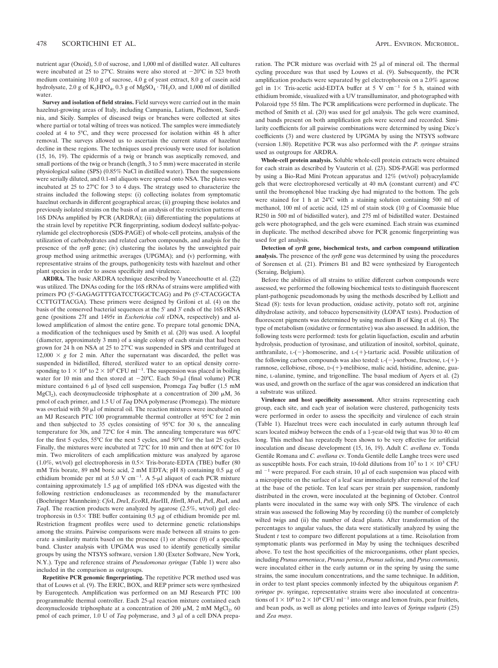nutrient agar (Oxoid), 5.0 of sucrose, and 1,000 ml of distilled water. All cultures were incubated at 25 to 27°C. Strains were also stored at  $-20^{\circ}$ C in 523 broth medium containing 10.0 g of sucrose, 4.0 g of yeast extract, 8.0 g of casein acid hydrolysate, 2.0 g of  $K_2HPO_4$ , 0.3 g of  $MgSO_4 \cdot 7H_2O$ , and 1,000 ml of distilled water.

**Survey and isolation of field strains.** Field surveys were carried out in the main hazelnut-growing areas of Italy, including Campania, Latium, Piedmont, Sardinia, and Sicily. Samples of diseased twigs or branches were collected at sites where partial or total wilting of trees was noticed. The samples were immediately cooled at 4 to 5°C, and they were processed for isolation within 48 h after removal. The surveys allowed us to ascertain the current status of hazelnut decline in these regions. The techniques used previously were used for isolation (15, 16, 19). The epidermis of a twig or branch was aseptically removed, and small portions of the twig or branch (length, 3 to 5 mm) were macerated in sterile physiological saline (SPS) (0.85% NaCl in distilled water). Then the suspensions were serially diluted, and 0.1-ml aliquots were spread onto NSA. The plates were incubated at 25 to 27°C for 3 to 4 days. The strategy used to characterize the strains included the following steps: (i) collecting isolates from symptomatic hazelnut orchards in different geographical areas; (ii) grouping these isolates and previously isolated strains on the basis of an analysis of the restriction patterns of 16S DNAs amplified by PCR (ARDRA); (iii) differentiating the populations at the strain level by repetitive PCR fingerprinting, sodium dodecyl sulfate-polyacrylamide gel electrophoresis (SDS-PAGE) of whole-cell proteins, analysis of the utilization of carbohydrates and related carbon compounds, and analysis for the presence of the *syrB* gene; (iv) clustering the isolates by the unweighted pair group method using aritmethic averages (UPGMA); and (v) performing, with representative strains of the groups, pathogenicity tests with hazelnut and other plant species in order to assess specificity and virulence.

**ARDRA.** The basic ARDRA technique described by Vaneechoutte et al. (22) was utilized. The DNAs coding for the 16S rRNAs of strains were amplified with primers PO (5'-GAGAGTTTGATCCTGGCTCAG) and P6 (5'-CTACGGCTA CCTTGTTACGA). These primers were designed by Grifoni et al. (4) on the basis of the conserved bacterial sequences at the 5' and 3' ends of the 16S rRNA gene (positions 27f and 1495r in *Escherichia coli* rDNA, respectively) and allowed amplification of almost the entire gene. To prepare total genomic DNA, a modification of the techniques used by Smith et al. (20) was used. A loopful (diameter, approximately 3 mm) of a single colony of each strain that had been grown for 24 h on NSA at 25 to 27°C was suspended in SPS and centrifuged at 12,000  $\times$  g for 2 min. After the supernatant was discarded, the pellet was suspended in bidistilled, filtered, sterilized water to an optical density corresponding to  $1 \times 10^8$  to  $2 \times 10^8$  CFU ml<sup>-1</sup>. The suspension was placed in boiling water for 10 min and then stored at  $-20^{\circ}$ C. Each 50-µl (final volume) PCR mixture contained 6  $\mu$ l of lysed cell suspension, Promega *Taq* buffer (1.5 mM MgCl<sub>2</sub>), each deoxynucleoside triphosphate at a concentration of 200  $\mu$ M, 36 pmol of each primer, and 1.5 U of *Taq* DNA polymerase (Promega). The mixture was overlaid with 50  $\mu$ l of mineral oil. The reaction mixtures were incubated on an MJ Research PTC 100 programmable thermal controller at 95°C for 2 min and then subjected to 35 cycles consisting of 95°C for 30 s, the annealing temperature for 30s, and 72°C for 4 min. The annealing temperature was 60°C for the first 5 cycles, 55°C for the next 5 cycles, and 50°C for the last 25 cycles. Finally, the mixtures were incubated at 72°C for 10 min and then at 60°C for 10 min. Two microliters of each amplification mixture was analyzed by agarose (1.0%, wt/vol) gel electrophoresis in  $0.5 \times$  Tris-borate-EDTA (TBE) buffer (80 mM Tris borate, 89 mM boric acid, 2 mM EDTA; pH 8) containing 0.5 µg of ethidium bromide per ml at 5.0 V cm<sup>-1</sup>. A 5- $\mu$ l aliquot of each PCR mixture containing approximately  $1.5 \mu$ g of amplified 16S rDNA was digested with the following restriction endonucleases as recommended by the manufacturer (Boehringer Mannheim): *Cfo*I, *Dra*I, *Eco*RI, *Hae*III, *Hin*fI, *Mva*I, *Pst*I, *Rsa*I, and *Taq*I. The reaction products were analyzed by agarose (2.5%, wt/vol) gel electrophoresis in  $0.5 \times$  TBE buffer containing 0.5  $\mu$ g of ethidium bromide per ml. Restriction fragment profiles were used to determine genetic relationships among the strains. Pairwise comparisons were made between all strains to generate a similarity matrix based on the presence (1) or absence (0) of a specific band. Cluster analysis with UPGMA was used to identify genetically similar groups by using the NTSYS software, version 1.80 (Exeter Software, New York, N.Y.). Type and reference strains of *Pseudomonas syringae* (Table 1) were also included in the comparison as outgroups.

**Repetitive PCR genomic fingerprinting.** The repetitive PCR method used was that of Louws et al. (9). The ERIC, BOX, and REP primer sets were synthesized by Eurogentech. Amplification was performed on an MJ Research PTC 100 programmable thermal controller. Each 25-µl reaction mixture contained each deoxynucleoside triphosphate at a concentration of 200  $\mu$ M, 2 mM MgCl<sub>2</sub>, 60 pmol of each primer, 1.0 U of *Taq* polymerase, and 3 µl of a cell DNA preparation. The PCR mixture was overlaid with  $25 \mu$ l of mineral oil. The thermal cycling procedure was that used by Louws et al. (9). Subsequently, the PCR amplification products were separated by gel electrophoresis on a 2.0% agarose gel in  $1 \times$  Tris-acetic acid-EDTA buffer at 5 V cm<sup>-1</sup> for 5 h, stained with ethidium bromide, visualized with a UV transilluminator, and photographed with Polaroid type 55 film. The PCR amplifications were performed in duplicate. The method of Smith et al. (20) was used for gel analysis. The gels were examined, and bands present on both amplification gels were scored and recorded. Similarity coefficients for all pairwise combinations were determined by using Dice's coefficients (3) and were clustered by UPGMA by using the NTSYS software (version 1.80). Repetitive PCR was also performed with the *P. syringae* strains used as outgroups for ARDRA.

**Whole-cell protein analysis.** Soluble whole-cell protein extracts were obtained for each strain as described by Vauterin et al. (23). SDS-PAGE was performed by using a Bio-Rad Mini Protean apparatus and 12% (wt/vol) polyacrylamide gels that were electrophoresed vertically at 40 mA (constant current) and 4°C until the bromophenol blue tracking dye had migrated to the bottom. The gels were stained for 1 h at 24°C with a staining solution containing 500 ml of methanol, 100 ml of acetic acid, 125 ml of stain stock (10 g of Coomassie blue R250 in 500 ml of bidistilled water), and 275 ml of bidistilled water. Destained gels were photographed, and the gels were examined. Each strain was examined in duplicate. The method described above for PCR genomic fingerprinting was used for gel analysis.

**Detection of** *syrB* **gene, biochemical tests, and carbon compound utilization analysis.** The presence of the *syrB* gene was determined by using the procedures of Sorensen et al. (21). Primers B1 and B2 were synthesized by Eurogentech (Seraing, Belgium).

Before the abilities of all strains to utilize different carbon compounds were assessed, we performed the following biochemical tests to distinguish fluorescent plant-pathogenic pseudomonads by using the methods described by Lelliott and Stead (8): tests for levan production, oxidase activity, potato soft rot, arginine dihydrolase activity, and tobacco hypersensitivity (LOPAT tests). Production of fluorescent pigments was determined by using medium B of King et al. (6). The type of metabolism (oxidative or fermentative) was also assessed. In addition, the following tests were performed: tests for gelatin liquefaction, esculin and arbutin hydrolysis, production of tyrosinase, and utilization of inositol, sorbitol, quinate, anthranilate,  $L$ -(-)-homoserine, and  $L$ -(+)-tartaric acid. Possible utilization of the following carbon compounds was also tested:  $L-(-)$ -sorbose, fructose,  $L-(+)$ ramnose, cellobiose, ribose,  $D-(+)$ -melibiose, malic acid, histidine, adenine, guanine, L-alanine, tymine, and trigonelline. The basal medium of Ayers et al. (2) was used, and growth on the surface of the agar was considered an indication that a substrate was utilized.

**Virulence and host specificity assessment.** After strains representing each group, each site, and each year of isolation were clustered, pathogenicity tests were performed in order to assess the specificity and virulence of each strain (Table 1). Hazelnut trees were each inoculated in early autumn through leaf scars located midway between the ends of a 1-year-old twig that was 30 to 40 cm long. This method has repeatedly been shown to be very effective for artificial inoculation and disease development (15, 16, 19). Adult *C. avellana* cv. Tonda Gentile Romana and *C. avellana* cv. Tonda Gentile delle Langhe trees were used as susceptible hosts. For each strain, 10-fold dilutions from  $10^7$  to  $1 \times 10^3$  CFU ml  $^{-1}$  were prepared. For each strain, 10  $\mu$ l of each suspension was placed with a micropipette on the surface of a leaf scar immediately after removal of the leaf at the base of the petiole. Ten leaf scars per strain per suspension, randomly distributed in the crown, were inoculated at the beginning of October. Control plants were inoculated in the same way with only SPS. The virulence of each strain was assessed the following May by recording (i) the number of completely wilted twigs and (ii) the number of dead plants. After transformation of the percentages to angular values, the data were statistically analyzed by using the Student *t* test to compare two different populations at a time. Reisolation from symptomatic plants was performed in May by using the techniques described above. To test the host specificities of the microorganisms, other plant species, including *Prunus armeniaca*, *Prunus persica*, *Prunus salicina*, and *Pyrus communis*, were inoculated either in the early autumn or in the spring by using the same strains, the same inoculum concentrations, and the same technique. In addition, in order to test plant species commonly infected by the ubiquitous organism *P. syringae* pv. syringae, representative strains were also inoculated at concentrations of  $1 \times 10^6$  to  $2 \times 10^6$  CFU ml<sup>-1</sup> into orange and lemon fruits, pear fruitlets, and bean pods, as well as along petioles and into leaves of *Syringa vulgaris* (25) and *Zea mays*.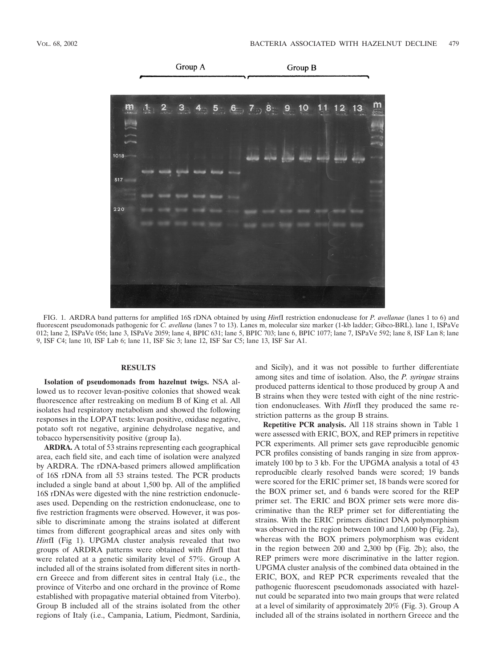

FIG. 1. ARDRA band patterns for amplified 16S rDNA obtained by using *Hin*fI restriction endonuclease for *P. avellanae* (lanes 1 to 6) and fluorescent pseudomonads pathogenic for *C. avellana* (lanes 7 to 13). Lanes m, molecular size marker (1-kb ladder; Gibco-BRL). lane 1, ISPaVe 012; lane 2, ISPaVe 056; lane 3, ISPaVe 2059; lane 4, BPIC 631; lane 5, BPIC 703; lane 6, BPIC 1077; lane 7, ISPaVe 592; lane 8, ISF Lan 8; lane 9, ISF C4; lane 10, ISF Lab 6; lane 11, ISF Sic 3; lane 12, ISF Sar C5; lane 13, ISF Sar A1.

### **RESULTS**

**Isolation of pseudomonads from hazelnut twigs.** NSA allowed us to recover levan-positive colonies that showed weak fluorescence after restreaking on medium B of King et al. All isolates had respiratory metabolism and showed the following responses in the LOPAT tests: levan positive, oxidase negative, potato soft rot negative, arginine dehydrolase negative, and tobacco hypersensitivity positive (group Ia).

**ARDRA.** A total of 53 strains representing each geographical area, each field site, and each time of isolation were analyzed by ARDRA. The rDNA-based primers allowed amplification of 16S rDNA from all 53 strains tested. The PCR products included a single band at about 1,500 bp. All of the amplified 16S rDNAs were digested with the nine restriction endonucleases used. Depending on the restriction endonuclease, one to five restriction fragments were observed. However, it was possible to discriminate among the strains isolated at different times from different geographical areas and sites only with *Hin*fI (Fig 1). UPGMA cluster analysis revealed that two groups of ARDRA patterns were obtained with *Hin*fI that were related at a genetic similarity level of 57%. Group A included all of the strains isolated from different sites in northern Greece and from different sites in central Italy (i.e., the province of Viterbo and one orchard in the province of Rome established with propagative material obtained from Viterbo). Group B included all of the strains isolated from the other regions of Italy (i.e., Campania, Latium, Piedmont, Sardinia, and Sicily), and it was not possible to further differentiate among sites and time of isolation. Also, the *P. syringae* strains produced patterns identical to those produced by group A and B strains when they were tested with eight of the nine restriction endonucleases. With *Hin*fI they produced the same restriction patterns as the group B strains.

**Repetitive PCR analysis.** All 118 strains shown in Table 1 were assessed with ERIC, BOX, and REP primers in repetitive PCR experiments. All primer sets gave reproducible genomic PCR profiles consisting of bands ranging in size from approximately 100 bp to 3 kb. For the UPGMA analysis a total of 43 reproducible clearly resolved bands were scored; 19 bands were scored for the ERIC primer set, 18 bands were scored for the BOX primer set, and 6 bands were scored for the REP primer set. The ERIC and BOX primer sets were more discriminative than the REP primer set for differentiating the strains. With the ERIC primers distinct DNA polymorphism was observed in the region between 100 and 1,600 bp (Fig. 2a), whereas with the BOX primers polymorphism was evident in the region between 200 and 2,300 bp (Fig. 2b); also, the REP primers were more discriminative in the latter region. UPGMA cluster analysis of the combined data obtained in the ERIC, BOX, and REP PCR experiments revealed that the pathogenic fluorescent pseudomonads associated with hazelnut could be separated into two main groups that were related at a level of similarity of approximately 20% (Fig. 3). Group A included all of the strains isolated in northern Greece and the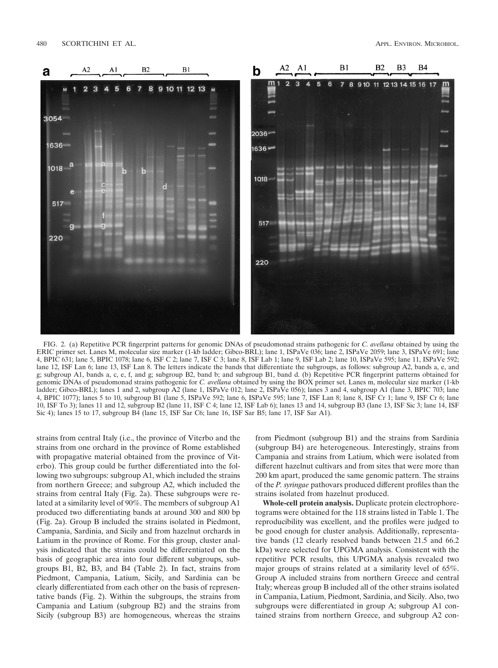

FIG. 2. (a) Repetitive PCR fingerprint patterns for genomic DNAs of pseudomonad strains pathogenic for *C. avellana* obtained by using the ERIC primer set. Lanes M, molecular size marker (1-kb ladder; Gibco-BRL); lane 1, ISPaVe 036; lane 2, ISPaVe 2059; lane 3, ISPaVe 691; lane 4, BPIC 631; lane 5, BPIC 1078; lane 6, ISF C 2; lane 7, ISF C 3; lane 8, ISF Lab 1; lane 9, ISF Lab 2; lane 10, ISPaVe 595; lane 11, ISPaVe 592; lane 12, ISF Lan 6; lane 13, ISF Lan 8. The letters indicate the bands that differentiate the subgroups, as follows: subgroup A2, bands a, e, and g; subgroup A1, bands a, c, e, f, and g; subgroup B2, band b; and subgroup B1, band d. (b) Repetitive PCR fingerprint patterns obtained for genomic DNAs of pseudomonad strains pathogenic for *C. avellana* obtained by using the BOX primer set. Lanes m, molecular size marker (1-kb ladder; Gibco-BRL); lanes 1 and 2, subgroup A2 (lane 1, ISPaVe 012; lane 2, ISPaVe 056); lanes 3 and 4, subgroup A1 (lane 3, BPIC 703; lane 4, BPIC 1077); lanes 5 to 10, subgroup B1 (lane 5, ISPaVe 592; lane 6, ISPaVe 595; lane 7, ISF Lan 8; lane 8, ISF Cr 1; lane 9, ISF Cr 6; lane 10, ISF To 3); lanes 11 and 12, subgroup B2 (lane 11, ISF C 4; lane 12, ISF Lab 6); lanes 13 and 14, subgroup B3 (lane 13, ISF Sic 3; lane 14, ISF Sic 4); lanes 15 to 17, subgroup B4 (lane 15, ISF Sar C6; lane 16, ISF Sar B5; lane 17, ISF Sar A1).

strains from central Italy (i.e., the province of Viterbo and the strains from one orchard in the province of Rome established with propagative material obtained from the province of Viterbo). This group could be further differentiated into the following two subgroups: subgroup A1, which included the strains from northern Greece; and subgroup A2, which included the strains from central Italy (Fig. 2a). These subgroups were related at a similarity level of 90%. The members of subgroup A1 produced two differentiating bands at around 300 and 800 bp (Fig. 2a). Group B included the strains isolated in Piedmont, Campania, Sardinia, and Sicily and from hazelnut orchards in Latium in the province of Rome. For this group, cluster analysis indicated that the strains could be differentiated on the basis of geographic area into four different subgroups, subgroups B1, B2, B3, and B4 (Table 2). In fact, strains from Piedmont, Campania, Latium, Sicily, and Sardinia can be clearly differentiated from each other on the basis of representative bands (Fig. 2). Within the subgroups, the strains from Campania and Latium (subgroup B2) and the strains from Sicily (subgroup B3) are homogeneous, whereas the strains from Piedmont (subgroup B1) and the strains from Sardinia (subgroup B4) are heterogeneous. Interestingly, strains from Campania and strains from Latium, which were isolated from different hazelnut cultivars and from sites that were more than 200 km apart, produced the same genomic pattern. The strains of the *P. syringae* pathovars produced different profiles than the strains isolated from hazelnut produced.

**Whole-cell protein analysis.** Duplicate protein electrophoretograms were obtained for the 118 strains listed in Table 1. The reproducibility was excellent, and the profiles were judged to be good enough for cluster analysis. Additionally, representative bands (12 clearly resolved bands between 21.5 and 66.2 kDa) were selected for UPGMA analysis. Consistent with the repetitive PCR results, this UPGMA analysis revealed two major groups of strains related at a similarity level of 65%. Group A included strains from northern Greece and central Italy; whereas group B included all of the other strains isolated in Campania, Latium, Piedmont, Sardinia, and Sicily. Also, two subgroups were differentiated in group A; subgroup A1 contained strains from northern Greece, and subgroup A2 con-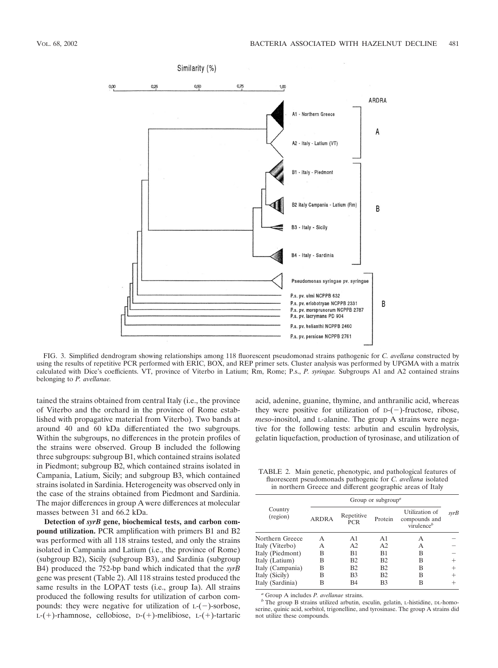

FIG. 3. Simplified dendrogram showing relationships among 118 fluorescent pseudomonad strains pathogenic for *C. avellana* constructed by using the results of repetitive PCR performed with ERIC, BOX, and REP primer sets. Cluster analysis was performed by UPGMA with a matrix calculated with Dice's coefficients. VT, province of Viterbo in Latium; Rm, Rome; P.s., *P. syringae.* Subgroups A1 and A2 contained strains belonging to *P. avellanae.*

tained the strains obtained from central Italy (i.e., the province of Viterbo and the orchard in the province of Rome established with propagative material from Viterbo). Two bands at around 40 and 60 kDa differentiated the two subgroups. Within the subgroups, no differences in the protein profiles of the strains were observed. Group B included the following three subgroups: subgroup B1, which contained strains isolated in Piedmont; subgroup B2, which contained strains isolated in Campania, Latium, Sicily; and subgroup B3, which contained strains isolated in Sardinia. Heterogeneity was observed only in the case of the strains obtained from Piedmont and Sardinia. The major differences in group A were differences at molecular masses between 31 and 66.2 kDa.

**Detection of** *syrB* **gene, biochemical tests, and carbon compound utilization.** PCR amplification with primers B1 and B2 was performed with all 118 strains tested, and only the strains isolated in Campania and Latium (i.e., the province of Rome) (subgroup B2), Sicily (subgroup B3), and Sardinia (subgroup B4) produced the 752-bp band which indicated that the *syrB* gene was present (Table 2). All 118 strains tested produced the same results in the LOPAT tests (i.e., group Ia). All strains produced the following results for utilization of carbon compounds: they were negative for utilization of  $L$ -(-)-sorbose,  $L-(+)$ -rhamnose, cellobiose,  $D-(+)$ -melibiose,  $L-(+)$ -tartaric

acid, adenine, guanine, thymine, and anthranilic acid, whereas they were positive for utilization of  $D-(-)$ -fructose, ribose, *meso*-inositol, and L-alanine. The group A strains were negative for the following tests: arbutin and esculin hydrolysis, gelatin liquefaction, production of tyrosinase, and utilization of

TABLE 2. Main genetic, phenotypic, and pathological features of fluorescent pseudomonads pathogenic for *C. avellana* isolated in northern Greece and different geographic areas of Italy

|                     | Group or subgroup <sup><i>a</i></sup> |                   |                |                                                  |        |  |
|---------------------|---------------------------------------|-------------------|----------------|--------------------------------------------------|--------|--|
| Country<br>(region) | ARDRA                                 | Repetitive<br>PCR | Protein        | Utilization of<br>compounds and<br>virulence $b$ | syrB   |  |
| Northern Greece     | А                                     | A <sub>1</sub>    | A <sub>1</sub> | А                                                |        |  |
| Italy (Viterbo)     | А                                     | A <sub>2</sub>    | A <sub>2</sub> | А                                                |        |  |
| Italy (Piedmont)    | B                                     | B <sub>1</sub>    | B1             | В                                                |        |  |
| Italy (Latium)      | B                                     | B <sub>2</sub>    | B <sub>2</sub> | В                                                |        |  |
| Italy (Campania)    | B                                     | B <sub>2</sub>    | B <sub>2</sub> | В                                                | $^+$   |  |
| Italy (Sicily)      | B                                     | B <sub>3</sub>    | B2             | в                                                | $^{+}$ |  |
| Italy (Sardinia)    | B                                     | <b>B4</b>         | B <sub>3</sub> | B                                                |        |  |

*<sup>a</sup>* Group A includes *P. avellanae* strains. *<sup>b</sup>* The group B strains utilized arbutin, esculin, gelatin, L-histidine, DL-homoserine, quinic acid, sorbitol, trigonelline, and tyrosinase. The group A strains did not utilize these compounds.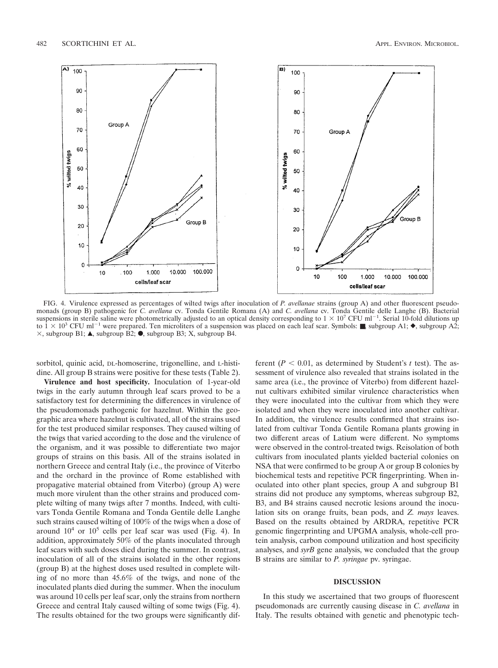

FIG. 4. Virulence expressed as percentages of wilted twigs after inoculation of *P. avellanae* strains (group A) and other fluorescent pseudomonads (group B) pathogenic for *C. avellana* cv. Tonda Gentile Romana (A) and *C. avellana* cv. Tonda Gentile delle Langhe (B). Bacterial suspensions in sterile saline were photometrically adjusted to an optical density corresponding to  $1 \times 10^7$  CFU ml<sup>-1</sup>. Serial 10-fold dilutions up to  $1 \times 10^3$  CFU ml<sup>-1</sup> were prepared. Ten microliters of a suspension was placed on each leaf scar. Symbols: **■**, subgroup A1; ◆, subgroup A2;  $\times$ , subgroup B1; A, subgroup B2;  $\bullet$ , subgroup B3; X, subgroup B4.

sorbitol, quinic acid, DL-homoserine, trigonelline, and L-histidine. All group B strains were positive for these tests (Table 2).

**Virulence and host specificity.** Inoculation of 1-year-old twigs in the early autumn through leaf scars proved to be a satisfactory test for determining the differences in virulence of the pseudomonads pathogenic for hazelnut. Within the geographic area where hazelnut is cultivated, all of the strains used for the test produced similar responses. They caused wilting of the twigs that varied according to the dose and the virulence of the organism, and it was possible to differentiate two major groups of strains on this basis. All of the strains isolated in northern Greece and central Italy (i.e., the province of Viterbo and the orchard in the province of Rome established with propagative material obtained from Viterbo) (group A) were much more virulent than the other strains and produced complete wilting of many twigs after 7 months. Indeed, with cultivars Tonda Gentile Romana and Tonda Gentile delle Langhe such strains caused wilting of 100% of the twigs when a dose of around  $10^4$  or  $10^5$  cells per leaf scar was used (Fig. 4). In addition, approximately 50% of the plants inoculated through leaf scars with such doses died during the summer. In contrast, inoculation of all of the strains isolated in the other regions (group B) at the highest doses used resulted in complete wilting of no more than 45.6% of the twigs, and none of the inoculated plants died during the summer. When the inoculum was around 10 cells per leaf scar, only the strains from northern Greece and central Italy caused wilting of some twigs (Fig. 4). The results obtained for the two groups were significantly different  $(P < 0.01$ , as determined by Student's *t* test). The assessment of virulence also revealed that strains isolated in the same area (i.e., the province of Viterbo) from different hazelnut cultivars exhibited similar virulence characteristics when they were inoculated into the cultivar from which they were isolated and when they were inoculated into another cultivar. In addition, the virulence results confirmed that strains isolated from cultivar Tonda Gentile Romana plants growing in two different areas of Latium were different. No symptoms were observed in the control-treated twigs. Reisolation of both cultivars from inoculated plants yielded bacterial colonies on NSA that were confirmed to be group A or group B colonies by biochemical tests and repetitive PCR fingerprinting. When inoculated into other plant species, group A and subgroup B1 strains did not produce any symptoms, whereas subgroup B2, B3, and B4 strains caused necrotic lesions around the inoculation sits on orange fruits, bean pods, and *Z. mays* leaves. Based on the results obtained by ARDRA, repetitive PCR genomic fingerprinting and UPGMA analysis, whole-cell protein analysis, carbon compound utilization and host specificity analyses, and *syrB* gene analysis, we concluded that the group B strains are similar to *P. syringae* pv. syringae.

# **DISCUSSION**

In this study we ascertained that two groups of fluorescent pseudomonads are currently causing disease in *C. avellana* in Italy. The results obtained with genetic and phenotypic tech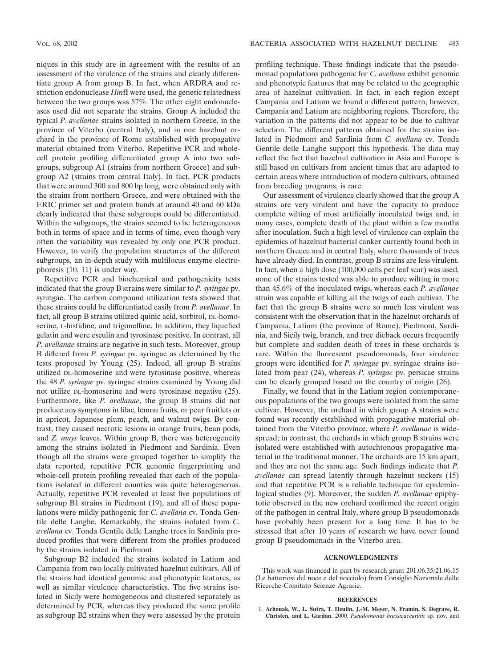niques in this study are in agreement with the results of an assessment of the virulence of the strains and clearly differentiate group A from group B. In fact, when ARDRA and restriction endonuclease *Hin*fI were used, the genetic relatedness between the two groups was 57%. The other eight endonucleases used did not separate the strains. Group A included the typical *P. avellanae* strains isolated in northern Greece, in the province of Viterbo (central Italy), and in one hazelnut orchard in the province of Rome established with propagative material obtained from Viterbo. Repetitive PCR and wholecell protein profiling differentiated group A into two subgroups, subgroup A1 (strains from northern Greece) and subgroup A2 (strains from central Italy). In fact, PCR products that were around 300 and 800 bp long, were obtained only with the strains from northern Greece, and were obtained with the ERIC primer set and protein bands at around 40 and 60 kDa clearly indicated that these subgroups could be differentiated. Within the subgroups, the strains seemed to be heterogeneous both in terms of space and in terms of time, even though very often the variability was revealed by only one PCR product. However, to verify the population structures of the different subgroups, an in-depth study with multilocus enzyme electrophoresis (10, 11) is under way.

Repetitive PCR and biochemical and pathogenicity tests indicated that the group B strains were similar to *P. syringae* pv. syringae. The carbon compound utilization tests showed that these strains could be differentiated easily from *P. avellanae*. In fact, all group B strains utilized quinic acid, sorbitol, DL-homoserine, L-histidine, and trigonelline. In addition, they liquefied gelatin and were esculin and tyrosinase positive. In contrast, all *P. avellanae* strains are negative in such tests. Moreover, group B differed from *P. syringae* pv. syringae as determined by the tests proposed by Young (25). Indeed, all group B strains utilized DL-homoserine and were tyrosinase positive, whereas the 48 *P. syringae* pv. syringae strains examined by Young did not utilize DL-homoserine and were tyrosinase negative (25). Furthermore, like *P. avellanae*, the group B strains did not produce any symptoms in lilac, lemon fruits, or pear fruitlets or in apricot, Japanese plum, peach, and walnut twigs. By contrast, they caused necrotic lesions in orange fruits, bean pods, and *Z. mays* leaves. Within group B, there was heterogeneity among the strains isolated in Piedmont and Sardinia. Even though all the strains were grouped together to simplify the data reported, repetitive PCR genomic fingerprinting and whole-cell protein profiling revealed that each of the populations isolated in different counties was quite heterogeneous. Actually, repetitive PCR revealed at least five populations of subgroup B1 strains in Piedmont (19), and all of these populations were mildly pathogenic for *C. avellana* cv. Tonda Gentile delle Langhe. Remarkably, the strains isolated from *C. avellana* cv. Tonda Gentile delle Langhe trees in Sardinia produced profiles that were different from the profiles produced by the strains isolated in Piedmont.

Subgroup B2 included the strains isolated in Latium and Campania from two locally cultivated hazelnut cultivars. All of the strains had identical genomic and phenotypic features, as well as similar virulence characteristics. The five strains isolated in Sicily were homogeneous and clustered separately as determined by PCR, whereas they produced the same profile as subgroup B2 strains when they were assessed by the protein profiling technique. These findings indicate that the pseudomonad populations pathogenic for *C. avellana* exhibit genomic and phenotypic features that may be related to the geographic area of hazelnut cultivation. In fact, in each region except Campania and Latium we found a different pattern; however, Campania and Latium are neighboring regions. Therefore, the variation in the patterns did not appear to be due to cultivar selection. The different patterns obtained for the strains isolated in Piedmont and Sardinia from *C. avellana* cv. Tonda Gentile delle Langhe support this hypothesis. The data may reflect the fact that hazelnut cultivation in Asia and Europe is still based on cultivars from ancient times that are adapted to certain areas where introduction of modern cultivars, obtained from breeding programs, is rare.

Our assessment of virulence clearly showed that the group A strains are very virulent and have the capacity to produce complete wilting of most artificially inoculated twigs and, in many cases, complete death of the plant within a few months after inoculation. Such a high level of virulence can explain the epidemics of hazelnut bacterial canker currently found both in northern Greece and in central Italy, where thousands of trees have already died. In contrast, group B strains are less virulent. In fact, when a high dose (100,000 cells per leaf scar) was used, none of the strains tested was able to produce wilting in more than 45.6% of the inoculated twigs, whereas each *P. avellanae* strain was capable of killing all the twigs of each cultivar. The fact that the group B strains were so much less virulent was consistent with the observation that in the hazelnut orchards of Campania, Latium (the province of Rome), Piedmont, Sardinia, and Sicily twig, branch, and tree dieback occurs frequently but complete and sudden death of trees in these orchards is rare. Within the fluorescent pseudomonads, four virulence groups were identified for *P. syringae* pv. syringae strains isolated from pear (24), whereas *P. syringae* pv. persicae strains can be clearly grouped based on the country of origin (26).

Finally, we found that in the Latium region contemporaneous populations of the two groups were isolated from the same cultivar. However, the orchard in which group A strains were found was recently established with propagative material obtained from the Viterbo province, where *P. avellanae* is widespread; in contrast, the orchards in which group B strains were isolated were established with autochtonous propagative material in the traditional manner. The orchards are 15 km apart, and they are not the same age. Such findings indicate that *P. avellanae* can spread latently through hazelnut suckers (15) and that repetitive PCR is a reliable technique for epidemiological studies (9). Moreover, the sudden *P. avellanae* epiphytotic observed in the new orchard confirmed the recent origin of the pathogen in central Italy, where group B pseudomonads have probably been present for a long time. It has to be stressed that after 10 years of research we have never found group B pseudomonads in the Viterbo area.

# **ACKNOWLEDGMENTS**

This work was financed in part by research grant 201.06.35/21.06.15 (Le batteriosi del noce e del nocciolo) from Consiglio Nazionale delle Ricerche-Comitato Scienze Agrarie.

#### **REFERENCES**

1. **Achouak, W., L. Sutra, T. Heulin, J.-M. Meyer, N. Framin, S. Degrave, R. Christen, and L. Gardan.** 2000. *Pseudomonas brassicacearum* sp. nov. and